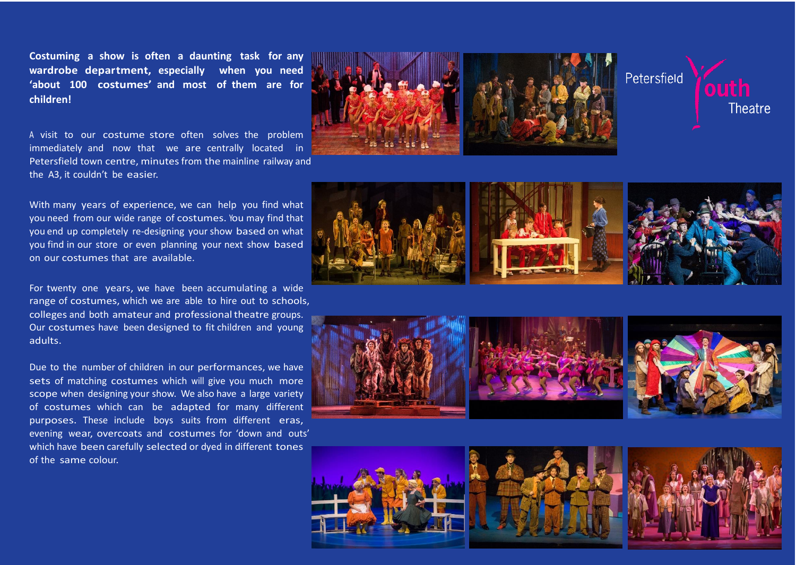**Costuming a show is often a daunting task for any wardrobe department, especially when you need 'about 100 costumes' and most of them are for children!**

<sup>A</sup> visit to our costume store often solves the problem immediately and now that we are centrally located in Petersfield town centre, minutes from the mainline railway and the A3, it couldn't be easier.

With many years of experience, we can help you find what you need from our wide range of costumes. You may find that you end up completely re-designing your show based on what you find in our store or even planning your next show based on our costumes that are available.

For twenty one years, we have been accumulating a wide range of costumes, which we are able to hire out to schools, colleges and both amateur and professional theatre groups. Our costumes have been designed to fit children and young adults.

Due to the number of children in our performances, we have sets of matching costumes which will give you much more scope when designing your show. We also have a large variety of costumes which can be adapted for many different purposes. These include boys suits from different eras, evening wear, overcoats and costumes for 'down and outs' which have been carefully selected or dyed in different tones of the same colour.